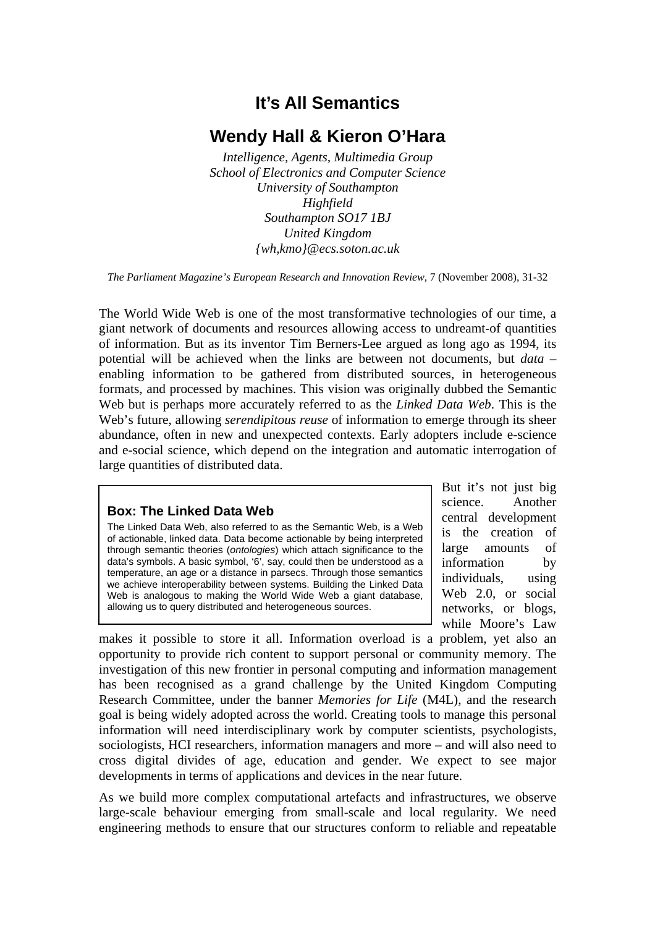## **It's All Semantics**

## **Wendy Hall & Kieron O'Hara**

*Intelligence, Agents, Multimedia Group School of Electronics and Computer Science University of Southampton Highfield Southampton SO17 1BJ United Kingdom {wh,kmo}@ecs.soton.ac.uk* 

*The Parliament Magazine's European Research and Innovation Review*, 7 (November 2008), 31-32

The World Wide Web is one of the most transformative technologies of our time, a giant network of documents and resources allowing access to undreamt-of quantities of information. But as its inventor Tim Berners-Lee argued as long ago as 1994, its potential will be achieved when the links are between not documents, but *data* – enabling information to be gathered from distributed sources, in heterogeneous formats, and processed by machines. This vision was originally dubbed the Semantic Web but is perhaps more accurately referred to as the *Linked Data Web*. This is the Web's future, allowing *serendipitous reuse* of information to emerge through its sheer abundance, often in new and unexpected contexts. Early adopters include e-science and e-social science, which depend on the integration and automatic interrogation of large quantities of distributed data.

## **Box: The Linked Data Web**

The Linked Data Web, also referred to as the Semantic Web, is a Web of actionable, linked data. Data become actionable by being interpreted through semantic theories (*ontologies*) which attach significance to the data's symbols. A basic symbol, '6', say, could then be understood as a temperature, an age or a distance in parsecs. Through those semantics we achieve interoperability between systems. Building the Linked Data Web is analogous to making the World Wide Web a giant database, allowing us to query distributed and heterogeneous sources.

But it's not just big science. Another central development is the creation of large amounts of information by individuals, using Web 2.0, or social networks, or blogs, while Moore's Law

makes it possible to store it all. Information overload is a problem, yet also an opportunity to provide rich content to support personal or community memory. The investigation of this new frontier in personal computing and information management has been recognised as a grand challenge by the United Kingdom Computing Research Committee, under the banner *Memories for Life* (M4L), and the research goal is being widely adopted across the world. Creating tools to manage this personal information will need interdisciplinary work by computer scientists, psychologists, sociologists, HCI researchers, information managers and more – and will also need to cross digital divides of age, education and gender. We expect to see major developments in terms of applications and devices in the near future.

As we build more complex computational artefacts and infrastructures, we observe large-scale behaviour emerging from small-scale and local regularity. We need engineering methods to ensure that our structures conform to reliable and repeatable